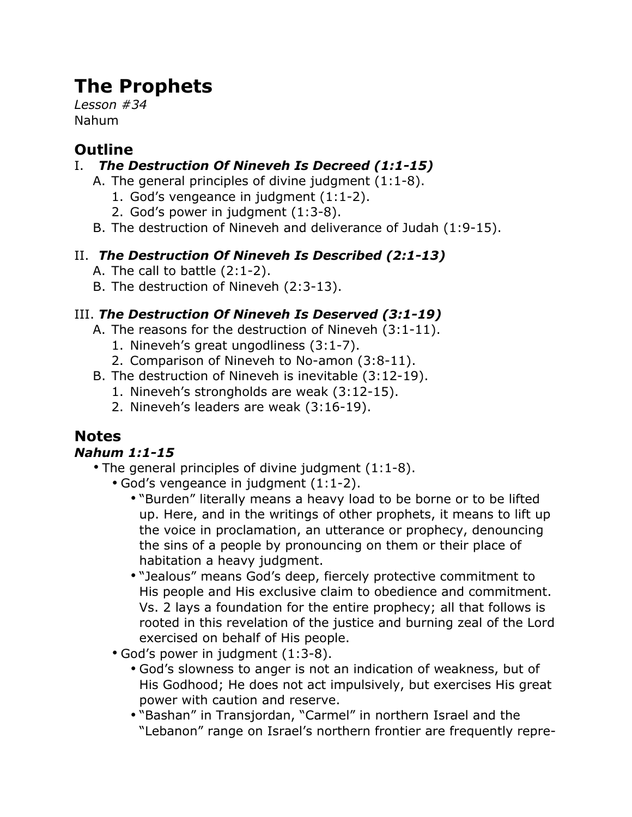# **The Prophets**

*Lesson #34* Nahum

# **Outline**

## I. *The Destruction Of Nineveh Is Decreed (1:1-15)*

- A. The general principles of divine judgment (1:1-8).
	- 1. God's vengeance in judgment (1:1-2).
	- 2. God's power in judgment (1:3-8).
- B. The destruction of Nineveh and deliverance of Judah (1:9-15).

## II. *The Destruction Of Nineveh Is Described (2:1-13)*

- A. The call to battle (2:1-2).
- B. The destruction of Nineveh (2:3-13).

## III. *The Destruction Of Nineveh Is Deserved (3:1-19)*

- A. The reasons for the destruction of Nineveh (3:1-11).
	- 1. Nineveh's great ungodliness (3:1-7).
	- 2. Comparison of Nineveh to No-amon (3:8-11).
- B. The destruction of Nineveh is inevitable (3:12-19).
	- 1. Nineveh's strongholds are weak (3:12-15).
	- 2. Nineveh's leaders are weak (3:16-19).

## **Notes**

## *Nahum 1:1-15*

- The general principles of divine judgment (1:1-8).
	- God's vengeance in judgment (1:1-2).
		- "Burden" literally means a heavy load to be borne or to be lifted up. Here, and in the writings of other prophets, it means to lift up the voice in proclamation, an utterance or prophecy, denouncing the sins of a people by pronouncing on them or their place of habitation a heavy judgment.
		- "Jealous" means God's deep, fiercely protective commitment to His people and His exclusive claim to obedience and commitment. Vs. 2 lays a foundation for the entire prophecy; all that follows is rooted in this revelation of the justice and burning zeal of the Lord exercised on behalf of His people.
	- God's power in judgment (1:3-8).
		- God's slowness to anger is not an indication of weakness, but of His Godhood; He does not act impulsively, but exercises His great power with caution and reserve.
		- "Bashan" in Transjordan, "Carmel" in northern Israel and the "Lebanon" range on Israel's northern frontier are frequently repre-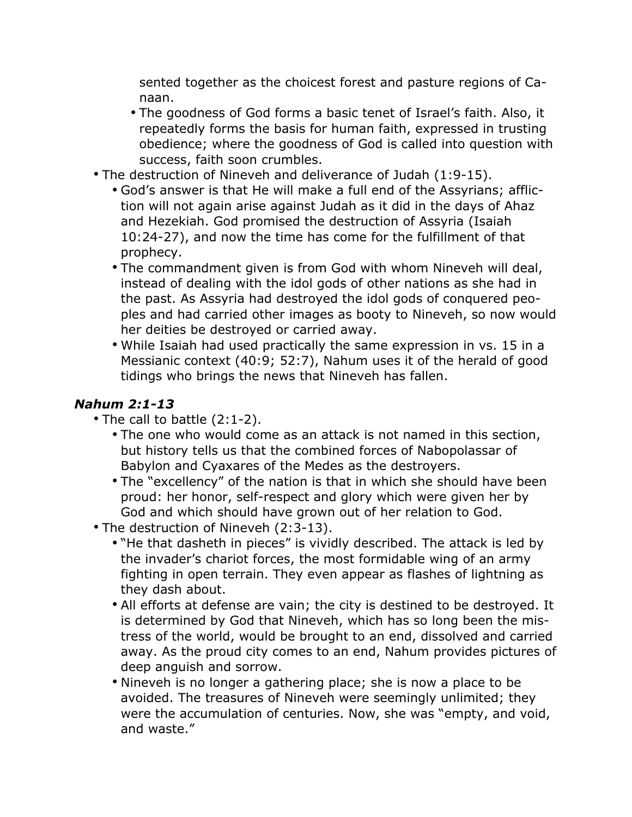sented together as the choicest forest and pasture regions of Canaan.

- The goodness of God forms a basic tenet of Israel's faith. Also, it repeatedly forms the basis for human faith, expressed in trusting obedience; where the goodness of God is called into question with success, faith soon crumbles.
- The destruction of Nineveh and deliverance of Judah (1:9-15).
	- God's answer is that He will make a full end of the Assyrians; affliction will not again arise against Judah as it did in the days of Ahaz and Hezekiah. God promised the destruction of Assyria (Isaiah 10:24-27), and now the time has come for the fulfillment of that prophecy.
	- The commandment given is from God with whom Nineveh will deal, instead of dealing with the idol gods of other nations as she had in the past. As Assyria had destroyed the idol gods of conquered peoples and had carried other images as booty to Nineveh, so now would her deities be destroyed or carried away.
	- While Isaiah had used practically the same expression in vs. 15 in a Messianic context (40:9; 52:7), Nahum uses it of the herald of good tidings who brings the news that Nineveh has fallen.

#### *Nahum 2:1-13*

- The call to battle (2:1-2).
	- The one who would come as an attack is not named in this section, but history tells us that the combined forces of Nabopolassar of Babylon and Cyaxares of the Medes as the destroyers.
	- The "excellency" of the nation is that in which she should have been proud: her honor, self-respect and glory which were given her by God and which should have grown out of her relation to God.
- The destruction of Nineveh (2:3-13).
	- "He that dasheth in pieces" is vividly described. The attack is led by the invader's chariot forces, the most formidable wing of an army fighting in open terrain. They even appear as flashes of lightning as they dash about.
	- All efforts at defense are vain; the city is destined to be destroyed. It is determined by God that Nineveh, which has so long been the mistress of the world, would be brought to an end, dissolved and carried away. As the proud city comes to an end, Nahum provides pictures of deep anguish and sorrow.
	- Nineveh is no longer a gathering place; she is now a place to be avoided. The treasures of Nineveh were seemingly unlimited; they were the accumulation of centuries. Now, she was "empty, and void, and waste."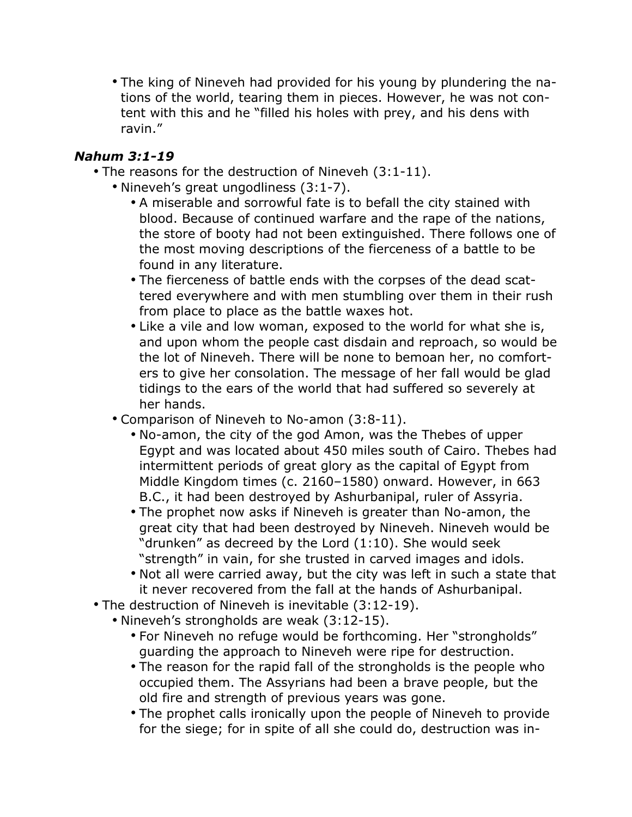• The king of Nineveh had provided for his young by plundering the nations of the world, tearing them in pieces. However, he was not content with this and he "filled his holes with prey, and his dens with ravin."

#### *Nahum 3:1-19*

- The reasons for the destruction of Nineveh (3:1-11).
	- Nineveh's great ungodliness (3:1-7).
		- A miserable and sorrowful fate is to befall the city stained with blood. Because of continued warfare and the rape of the nations, the store of booty had not been extinguished. There follows one of the most moving descriptions of the fierceness of a battle to be found in any literature.
		- The fierceness of battle ends with the corpses of the dead scattered everywhere and with men stumbling over them in their rush from place to place as the battle waxes hot.
		- Like a vile and low woman, exposed to the world for what she is, and upon whom the people cast disdain and reproach, so would be the lot of Nineveh. There will be none to bemoan her, no comforters to give her consolation. The message of her fall would be glad tidings to the ears of the world that had suffered so severely at her hands.
	- Comparison of Nineveh to No-amon (3:8-11).
		- No-amon, the city of the god Amon, was the Thebes of upper Egypt and was located about 450 miles south of Cairo. Thebes had intermittent periods of great glory as the capital of Egypt from Middle Kingdom times (c. 2160–1580) onward. However, in 663 B.C., it had been destroyed by Ashurbanipal, ruler of Assyria.
		- The prophet now asks if Nineveh is greater than No-amon, the great city that had been destroyed by Nineveh. Nineveh would be "drunken" as decreed by the Lord (1:10). She would seek "strength" in vain, for she trusted in carved images and idols.
		- Not all were carried away, but the city was left in such a state that it never recovered from the fall at the hands of Ashurbanipal.
- The destruction of Nineveh is inevitable (3:12-19).
	- Nineveh's strongholds are weak (3:12-15).
		- For Nineveh no refuge would be forthcoming. Her "strongholds" guarding the approach to Nineveh were ripe for destruction.
		- The reason for the rapid fall of the strongholds is the people who occupied them. The Assyrians had been a brave people, but the old fire and strength of previous years was gone.
		- The prophet calls ironically upon the people of Nineveh to provide for the siege; for in spite of all she could do, destruction was in-